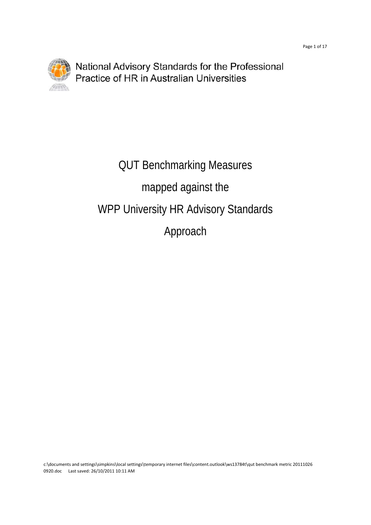

## QUT Benchmarking Measures mapped against the WPP University HR Advisory Standards Approach

c:\documents and settings\simpkins\local settings\temporary internet files\content.outlook\ws13784t\qut benchmark metric 20111026 0920.doc Last saved: 26/10/2011 10:11 AM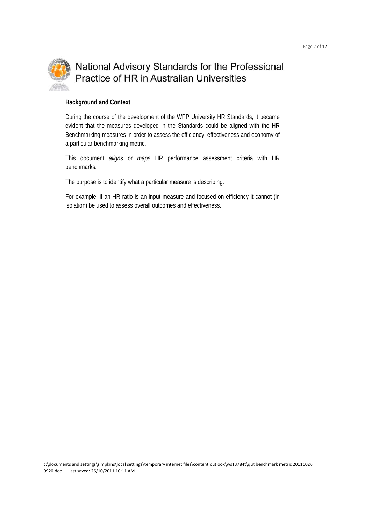

#### **Background and Context**

During the course of the development of the WPP University HR Standards, it became evident that the measures developed in the Standards could be aligned with the HR Benchmarking measures in order to assess the efficiency, effectiveness and economy of a particular benchmarking metric.

This document *aligns* or *maps* HR performance assessment criteria with HR benchmarks.

The purpose is to identify what a particular measure is describing.

For example, if an HR ratio is an input measure and focused on efficiency it cannot (in isolation) be used to assess overall outcomes and effectiveness.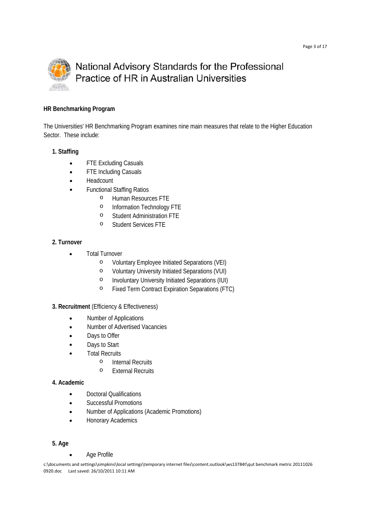

#### **HR Benchmarking Program**

The Universities' HR Benchmarking Program examines nine main measures that relate to the Higher Education Sector. These include:

#### **1. Staffing**

- FTE Excluding Casuals
- FTE Including Casuals
- Headcount
- Functional Staffing Ratios
	- o Human Resources FTE
	- o Information Technology FTE
	- o Student Administration FTE
	- o Student Services FTE

#### **2. Turnover**

- Total Turnover
	- o Voluntary Employee Initiated Separations (VEI)
	- o Voluntary University Initiated Separations (VUI)
	- o Involuntary University Initiated Separations (IUI)
	- o Fixed Term Contract Expiration Separations (FTC)
- **3. Recruitment** (Efficiency & Effectiveness)
	- Number of Applications
	- Number of Advertised Vacancies
	- Days to Offer
	- Days to Start
	- Total Recruits
		- o Internal Recruits
		- o External Recruits

#### **4. Academic**

- Doctoral Qualifications
- Successful Promotions
- Number of Applications (Academic Promotions)
- Honorary Academics

#### **5. Age**

Age Profile

c:\documents and settings\simpkins\local settings\temporary internet files\content.outlook\ws13784t\qut benchmark metric 20111026 0920.doc Last saved: 26/10/2011 10:11 AM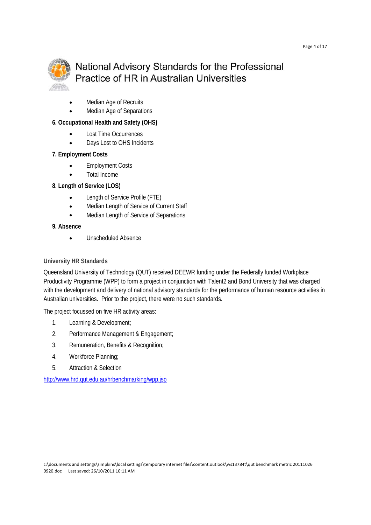

- Median Age of Recruits
- Median Age of Separations

#### **6. Occupational Health and Safety (OHS)**

- Lost Time Occurrences
- Days Lost to OHS Incidents

#### **7. Employment Costs**

- Employment Costs
- Total Income

#### **8. Length of Service (LOS)**

- Length of Service Profile (FTE)
- Median Length of Service of Current Staff
- Median Length of Service of Separations

#### **9. Absence**

Unscheduled Absence

#### **University HR Standards**

Queensland University of Technology (QUT) received DEEWR funding under the Federally funded Workplace Productivity Programme (WPP) to form a project in conjunction with Talent2 and Bond University that was charged with the development and delivery of national advisory standards for the performance of human resource activities in Australian universities. Prior to the project, there were no such standards.

The project focussed on five HR activity areas:

- 1. Learning & Development;
- 2. Performance Management & Engagement;
- 3. Remuneration, Benefits & Recognition;
- 4. Workforce Planning;
- 5. Attraction & Selection

http://www.hrd.qut.edu.au/hrbenchmarking/wpp.jsp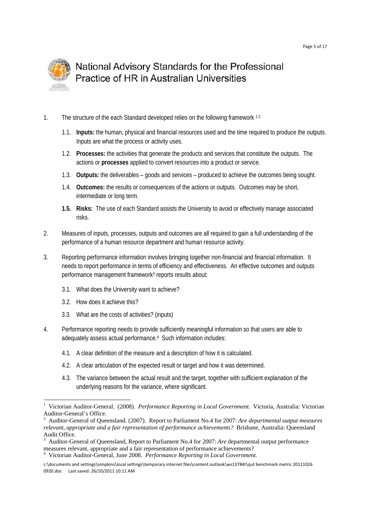

- 1. The structure of the each Standard developed relies on the following framework 1 2
	- 1.1. **Inputs:** the human, physical and financial resources used and the time required to produce the outputs. Inputs are what the process or activity uses.
	- 1.2. **Processes:** the activities that generate the products and services that constitute the outputs. The actions or **processes** applied to convert resources into a product or service.
	- 1.3. **Outputs:** the deliverables goods and services produced to achieve the outcomes being sought.
	- 1.4. **Outcomes:** the results or consequences of the actions or outputs. Outcomes may be short, intermediate or long term.
	- **1.5. Risks:** The use of each Standard assists the University to avoid or effectively manage associated risks.
- 2. Measures of inputs, processes, outputs and outcomes are all required to gain a full understanding of the performance of a human resource department and human resource activity.
- 3. Reporting performance information involves bringing together non-financial and financial information. It needs to report performance in terms of efficiency and effectiveness. An effective outcomes and outputs performance management framework<sup>3</sup> reports results about:
	- 3.1. What does the University want to achieve?
	- 3.2. How does it achieve this?

- 3.3. What are the costs of activities? (inputs)
- 4. Performance reporting needs to provide sufficiently meaningful information so that users are able to adequately assess actual performance.4 Such information includes:
	- 4.1. A clear definition of the measure and a description of how it is calculated.
	- 4.2. A clear articulation of the expected result or target and how it was determined.
	- 4.3. The variance between the actual result and the target, together with sufficient explanation of the underlying reasons for the variance, where significant.

<sup>1</sup> Victorian Auditor-General. (2008). *Performance Reporting in Local Government.* Victoria, Australia: Victorian Auditor-General's Office.

<sup>2</sup> Auditor-General of Queensland. (2007). Report to Parliament No.4 for 2007: *Are departmental output measures relevant, appropriate and a fair representation of performance achievements?* Brisbane, Australia: Queensland Audit Office.

<sup>3</sup> Auditor-General of Queensland, Report to Parliament No.4 for 2007: *Are* departmental output performance measures relevant, appropriate and a fair representation of performance achievements?

<sup>4</sup> Victorian Auditor-General, June 2008. *Performance Reporting in Local Government.*

c:\documents and settings\simpkins\local settings\temporary internet files\content.outlook\ws13784t\qut benchmark metric 20111026 0920.doc Last saved: 26/10/2011 10:11 AM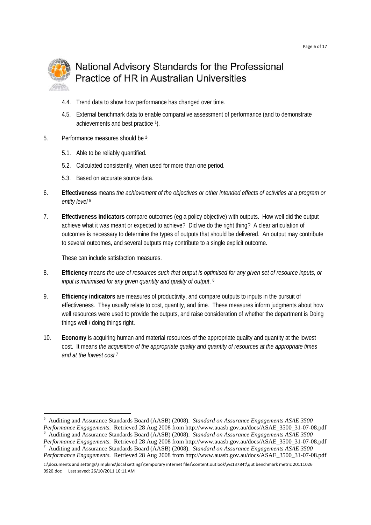

- 4.4. Trend data to show how performance has changed over time.
- 4.5. External benchmark data to enable comparative assessment of performance (and to demonstrate achievements and best practice 1).
- 5. Performance measures should be 2:
	- 5.1. Able to be reliably quantified.
	- 5.2. Calculated consistently, when used for more than one period.
	- 5.3. Based on accurate source data.
- 6. **Effectiveness** means *the achievement of the objectives or other intended effects of activities at a program or entity level* 5
- 7. **Effectiveness indicators** compare outcomes (eg a policy objective) with outputs. How well did the output achieve what it was meant or expected to achieve? Did we do the right thing? A clear articulation of outcomes is necessary to determine the types of outputs that should be delivered. An output may contribute to several outcomes, and several outputs may contribute to a single explicit outcome.

These can include satisfaction measures.

<u> Andrew Maria (1989)</u>

- 8. **Efficiency** means *the use of resources such that output is optimised for any given set of resource inputs, or input is minimised for any given quantity and quality of output*. 6
- 9. **Efficiency indicators** are measures of productivity, and compare outputs to inputs in the pursuit of effectiveness. They usually relate to cost, quantity, and time. These measures inform judgments about how well resources were used to provide the outputs, and raise consideration of whether the department is Doing things well / doing things right.
- 10. **Economy** is acquiring human and material resources of the appropriate quality and quantity at the lowest cost. It means *the acquisition of the appropriate quality and quantity of resources at the appropriate times and at the lowest cost 7*

<sup>5</sup> Auditing and Assurance Standards Board (AASB) (2008). *Standard on Assurance Engagements ASAE 3500 Performance Engagements.* Retrieved 28 Aug 2008 from http://www.auasb.gov.au/docs/ASAE\_3500\_31-07-08.pdf 6

Auditing and Assurance Standards Board (AASB) (2008). *Standard on Assurance Engagements ASAE 3500 Performance Engagements.* Retrieved 28 Aug 2008 from http://www.auasb.gov.au/docs/ASAE\_3500\_31-07-08.pdf 7 Auditing and Assurance Standards Board (AASB) (2008). *Standard on Assurance Engagements ASAE 3500 Performance Engagements.* Retrieved 28 Aug 2008 from http://www.auasb.gov.au/docs/ASAE\_3500\_31-07-08.pdf

c:\documents and settings\simpkins\local settings\temporary internet files\content.outlook\ws13784t\qut benchmark metric 20111026 0920.doc Last saved: 26/10/2011 10:11 AM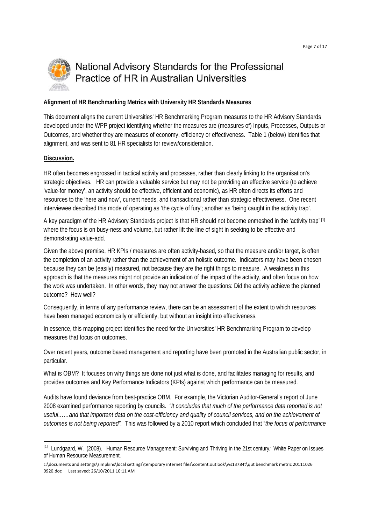

#### **Alignment of HR Benchmarking Metrics with University HR Standards Measures**

This document aligns the current Universities' HR Benchmarking Program measures to the HR Advisory Standards developed under the WPP project identifying whether the measures are (measures of) Inputs, Processes, Outputs or Outcomes, and whether they are measures of economy, efficiency or effectiveness. Table 1 (below) identifies that alignment, and was sent to 81 HR specialists for review/consideration.

#### **Discussion.**

HR often becomes engrossed in tactical activity and processes, rather than clearly linking to the organisation's strategic objectives. HR can provide a valuable service but may not be providing an effective service (to achieve 'value-for money', an activity should be effective, efficient and economic), as HR often directs its efforts and resources to the 'here and now', current needs, and transactional rather than strategic effectiveness. One recent interviewee described this mode of operating as 'the cycle of fury'; another as 'being caught in the activity trap'.

A key paradigm of the HR Advisory Standards project is that HR should not become enmeshed in the 'activity trap' [1] where the focus is on busy-ness and volume, but rather lift the line of sight in seeking to be effective and demonstrating value-add.

Given the above premise, HR KPIs / measures are often activity-based, so that the measure and/or target, is often the completion of an activity rather than the achievement of an holistic outcome. Indicators may have been chosen because they can be (easily) measured, not because they are the right things to measure. A weakness in this approach is that the measures might not provide an indication of the impact of the activity, and often focus on how the work was undertaken. In other words, they may not answer the questions: Did the activity achieve the planned outcome? How well?

Consequently, in terms of any performance review, there can be an assessment of the extent to which resources have been managed economically or efficiently, but without an insight into effectiveness.

In essence, this mapping project identifies the need for the Universities' HR Benchmarking Program to develop measures that focus on outcomes.

Over recent years, outcome based management and reporting have been promoted in the Australian public sector, in particular.

What is OBM? It focuses on why things are done not just what is done, and facilitates managing for results, and provides outcomes and Key Performance Indicators (KPIs) against which performance can be measured.

Audits have found deviance from best-practice OBM. For example, the Victorian Auditor-General's report of June 2008 examined performance reporting by councils. *"It concludes that much of the performance data reported is not useful……and that important data on the cost-efficiency and quality of council services, and on the achievement of outcomes is not being reported".* This was followed by a 2010 report which concluded that "*the focus of performance* 

<sup>[1]</sup> Lundgaard, W. (2008). Human Resource Management: Surviving and Thriving in the 21st century*:* White Paper on Issues of Human Resource Measurement.

c:\documents and settings\simpkins\local settings\temporary internet files\content.outlook\ws13784t\qut benchmark metric 20111026 0920.doc Last saved: 26/10/2011 10:11 AM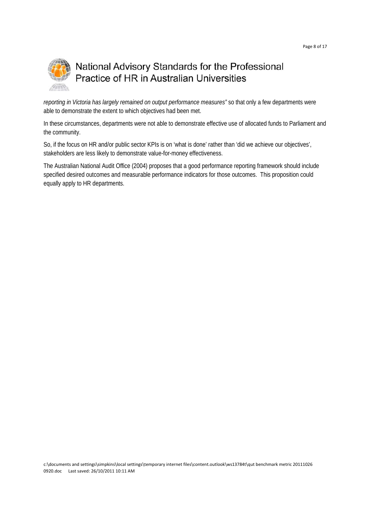

*reporting in Victoria has largely remained on output performance measures"* so that only a few departments were able to demonstrate the extent to which objectives had been met.

In these circumstances, departments were not able to demonstrate effective use of allocated funds to Parliament and the community.

So, if the focus on HR and/or public sector KPIs is on 'what is done' rather than 'did we achieve our objectives', stakeholders are less likely to demonstrate value-for-money effectiveness.

The Australian National Audit Office (2004) proposes that a good performance reporting framework should include specified desired outcomes and measurable performance indicators for those outcomes. This proposition could equally apply to HR departments.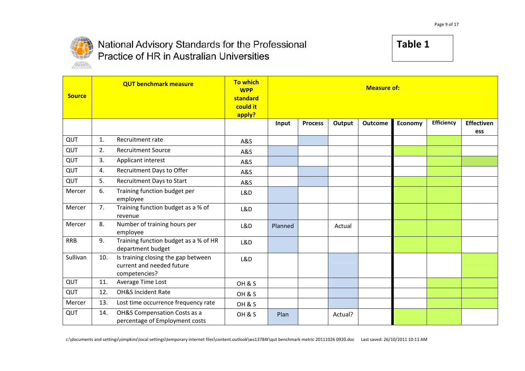

### **Table 1**

| <b>Source</b> |     | <b>QUT benchmark measure</b>                                                      | <b>To which</b><br><b>WPP</b><br>standard<br>could it<br>apply? | <b>Measure of:</b> |                |         |         |         |            |                   |
|---------------|-----|-----------------------------------------------------------------------------------|-----------------------------------------------------------------|--------------------|----------------|---------|---------|---------|------------|-------------------|
|               |     |                                                                                   |                                                                 | Input              | <b>Process</b> | Output  | Outcome | Economy | Efficiency | Effectiven<br>ess |
| QUT           | 1.  | Recruitment rate                                                                  | A&S                                                             |                    |                |         |         |         |            |                   |
| QUT           | 2.  | <b>Recruitment Source</b>                                                         | A&S                                                             |                    |                |         |         |         |            |                   |
| QUT           | 3.  | Applicant interest                                                                | A&S                                                             |                    |                |         |         |         |            |                   |
| QUT           | 4.  | Recruitment Days to Offer                                                         | <b>A&amp;S</b>                                                  |                    |                |         |         |         |            |                   |
| QUT           | 5.  | Recruitment Days to Start                                                         | A&S                                                             |                    |                |         |         |         |            |                   |
| Mercer        | 6.  | Training function budget per<br>employee                                          | L&D                                                             |                    |                |         |         |         |            |                   |
| Mercer        | 7.  | Training function budget as a % of<br>revenue                                     | L&D                                                             |                    |                |         |         |         |            |                   |
| Mercer        | 8.  | Number of training hours per<br>employee                                          | L&D                                                             | Planned            |                | Actual  |         |         |            |                   |
| <b>RRB</b>    | 9.  | Training function budget as a % of HR<br>department budget                        | L&D                                                             |                    |                |         |         |         |            |                   |
| Sullivan      | 10. | Is training closing the gap between<br>current and needed future<br>competencies? | L&D                                                             |                    |                |         |         |         |            |                   |
| QUT           | 11. | Average Time Lost                                                                 | OH & S                                                          |                    |                |         |         |         |            |                   |
| QUT           | 12. | OH&S Incident Rate                                                                | OH & S                                                          |                    |                |         |         |         |            |                   |
| Mercer        | 13. | Lost time occurrence frequency rate                                               | OH & S                                                          |                    |                |         |         |         |            |                   |
| QUT           | 14. | OH&S Compensation Costs as a<br>percentage of Employment costs                    | OH&S                                                            | Plan               |                | Actual? |         |         |            |                   |

c:\documents and settings\simpkins\local settings\temporary internet files\content.outlook\ws13784t\qut benchmark metric 20111026 0920.doc Last saved: 26/10/2011 10:11 AM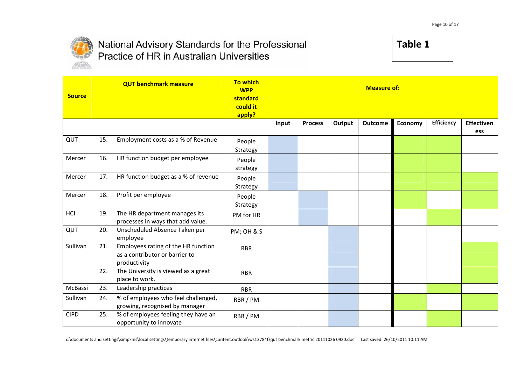

| <b>Source</b> |     | <b>QUT benchmark measure</b>                                                          | <b>To which</b><br><b>WPP</b><br>standard<br>could it<br>apply? | <b>Measure of:</b> |                |        |         |                |                   |                   |
|---------------|-----|---------------------------------------------------------------------------------------|-----------------------------------------------------------------|--------------------|----------------|--------|---------|----------------|-------------------|-------------------|
|               |     |                                                                                       |                                                                 | Input              | <b>Process</b> | Output | Outcome | <b>Economy</b> | <b>Efficiency</b> | Effectiven<br>ess |
| QUT           | 15. | Employment costs as a % of Revenue                                                    | People<br>Strategy                                              |                    |                |        |         |                |                   |                   |
| Mercer        | 16. | HR function budget per employee                                                       | People<br>strategy                                              |                    |                |        |         |                |                   |                   |
| Mercer        | 17. | HR function budget as a % of revenue                                                  | People<br>Strategy                                              |                    |                |        |         |                |                   |                   |
| Mercer        | 18. | Profit per employee                                                                   | People<br>Strategy                                              |                    |                |        |         |                |                   |                   |
| HCI           | 19. | The HR department manages its<br>processes in ways that add value.                    | PM for HR                                                       |                    |                |        |         |                |                   |                   |
| QUT           | 20. | Unscheduled Absence Taken per<br>employee                                             | PM; OH & S                                                      |                    |                |        |         |                |                   |                   |
| Sullivan      | 21. | Employees rating of the HR function<br>as a contributor or barrier to<br>productivity | <b>RBR</b>                                                      |                    |                |        |         |                |                   |                   |
|               | 22. | The University is viewed as a great<br>place to work.                                 | <b>RBR</b>                                                      |                    |                |        |         |                |                   |                   |
| McBassi       | 23. | Leadership practices                                                                  | <b>RBR</b>                                                      |                    |                |        |         |                |                   |                   |
| Sullivan      | 24. | % of employees who feel challenged,<br>growing, recognised by manager                 | RBR / PM                                                        |                    |                |        |         |                |                   |                   |
| <b>CIPD</b>   | 25. | % of employees feeling they have an<br>opportunity to innovate                        | RBR / PM                                                        |                    |                |        |         |                |                   |                   |

c:\documents and settings\simpkins\local settings\temporary internet files\content.outlook\ws13784t\qut benchmark metric 20111026 0920.doc Last saved: 26/10/2011 10:11 AM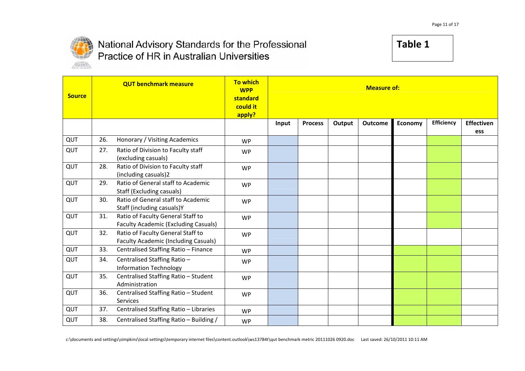

| <b>Source</b> |     | <b>QUT benchmark measure</b>                                                     | <b>To which</b><br><b>WPP</b><br>standard<br>could it<br>apply? | <b>Measure of:</b> |                |        |                |         |            |                          |
|---------------|-----|----------------------------------------------------------------------------------|-----------------------------------------------------------------|--------------------|----------------|--------|----------------|---------|------------|--------------------------|
|               |     |                                                                                  |                                                                 | Input              | <b>Process</b> | Output | <b>Outcome</b> | Economy | Efficiency | <b>Effectiven</b><br>ess |
| QUT           | 26. | Honorary / Visiting Academics                                                    | <b>WP</b>                                                       |                    |                |        |                |         |            |                          |
| QUT           | 27. | Ratio of Division to Faculty staff<br>(excluding casuals)                        | <b>WP</b>                                                       |                    |                |        |                |         |            |                          |
| QUT           | 28. | Ratio of Division to Faculty staff<br>(including casuals)2                       | <b>WP</b>                                                       |                    |                |        |                |         |            |                          |
| QUT           | 29. | Ratio of General staff to Academic<br><b>Staff (Excluding casuals)</b>           | <b>WP</b>                                                       |                    |                |        |                |         |            |                          |
| QUT           | 30. | Ratio of General staff to Academic<br>Staff (including casuals)Y                 | <b>WP</b>                                                       |                    |                |        |                |         |            |                          |
| QUT           | 31. | Ratio of Faculty General Staff to<br><b>Faculty Academic (Excluding Casuals)</b> | <b>WP</b>                                                       |                    |                |        |                |         |            |                          |
| QUT           | 32. | Ratio of Faculty General Staff to<br><b>Faculty Academic (Including Casuals)</b> | <b>WP</b>                                                       |                    |                |        |                |         |            |                          |
| QUT           | 33. | Centralised Staffing Ratio - Finance                                             | <b>WP</b>                                                       |                    |                |        |                |         |            |                          |
| QUT           | 34. | Centralised Staffing Ratio-<br><b>Information Technology</b>                     | <b>WP</b>                                                       |                    |                |        |                |         |            |                          |
| QUT           | 35. | Centralised Staffing Ratio - Student<br>Administration                           | <b>WP</b>                                                       |                    |                |        |                |         |            |                          |
| QUT           | 36. | Centralised Staffing Ratio - Student<br>Services                                 | <b>WP</b>                                                       |                    |                |        |                |         |            |                          |
| QUT           | 37. | Centralised Staffing Ratio - Libraries                                           | <b>WP</b>                                                       |                    |                |        |                |         |            |                          |
| QUT           | 38. | Centralised Staffing Ratio - Building /                                          | <b>WP</b>                                                       |                    |                |        |                |         |            |                          |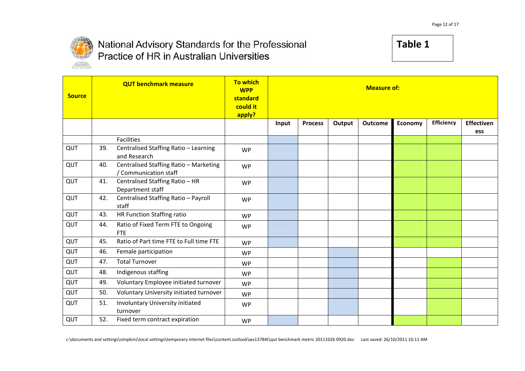

| <b>Source</b> |     | <b>QUT benchmark measure</b>                                    | <b>To which</b><br><b>WPP</b><br>standard<br>could it<br>apply? |       | <b>Measure of:</b> |        |                |         |            |            |
|---------------|-----|-----------------------------------------------------------------|-----------------------------------------------------------------|-------|--------------------|--------|----------------|---------|------------|------------|
|               |     |                                                                 |                                                                 | Input | <b>Process</b>     | Output | <b>Outcome</b> | Economy | Efficiency | Effectiven |
|               |     | Facilities                                                      |                                                                 |       |                    |        |                |         |            | ess        |
| QUT           | 39. | Centralised Staffing Ratio - Learning<br>and Research           | <b>WP</b>                                                       |       |                    |        |                |         |            |            |
| QUT           | 40. | Centralised Staffing Ratio - Marketing<br>/ Communication staff | <b>WP</b>                                                       |       |                    |        |                |         |            |            |
| QUT           | 41. | Centralised Staffing Ratio - HR<br>Department staff             | <b>WP</b>                                                       |       |                    |        |                |         |            |            |
| QUT           | 42. | Centralised Staffing Ratio - Payroll<br>staff                   | <b>WP</b>                                                       |       |                    |        |                |         |            |            |
| QUT           | 43. | HR Function Staffing ratio                                      | <b>WP</b>                                                       |       |                    |        |                |         |            |            |
| QUT           | 44. | Ratio of Fixed Term FTE to Ongoing<br><b>FTE</b>                | <b>WP</b>                                                       |       |                    |        |                |         |            |            |
| QUT           | 45. | Ratio of Part time FTE to Full time FTE                         | <b>WP</b>                                                       |       |                    |        |                |         |            |            |
| QUT           | 46. | Female participation                                            | <b>WP</b>                                                       |       |                    |        |                |         |            |            |
| QUT           | 47. | <b>Total Turnover</b>                                           | <b>WP</b>                                                       |       |                    |        |                |         |            |            |
| QUT           | 48. | Indigenous staffing                                             | <b>WP</b>                                                       |       |                    |        |                |         |            |            |
| QUT           | 49. | Voluntary Employee initiated turnover                           | <b>WP</b>                                                       |       |                    |        |                |         |            |            |
| QUT           | 50. | Voluntary University initiated turnover                         | <b>WP</b>                                                       |       |                    |        |                |         |            |            |
| QUT           | 51. | Involuntary University initiated<br>turnover                    | <b>WP</b>                                                       |       |                    |        |                |         |            |            |
| QUT           | 52. | Fixed term contract expiration                                  | <b>WP</b>                                                       |       |                    |        |                |         |            |            |

c:\documents and settings\simpkins\local settings\temporary internet files\content.outlook\ws13784t\qut benchmark metric 20111026 0920.doc Last saved: 26/10/2011 10:11 AM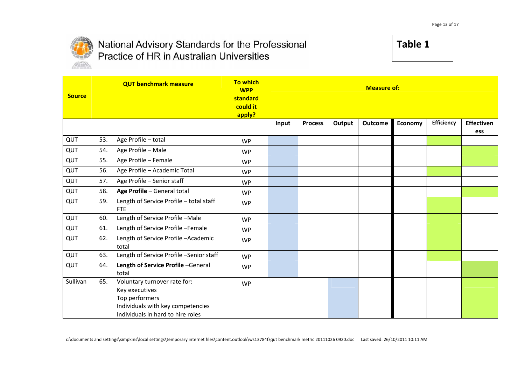

| <b>Source</b> |     | <b>QUT benchmark measure</b>                                                                                                               | <b>To which</b><br><b>WPP</b><br>standard<br>could it<br>apply? |       | <b>Measure of:</b> |        |         |         |                   |                   |
|---------------|-----|--------------------------------------------------------------------------------------------------------------------------------------------|-----------------------------------------------------------------|-------|--------------------|--------|---------|---------|-------------------|-------------------|
|               |     |                                                                                                                                            |                                                                 | Input | <b>Process</b>     | Output | Outcome | Economy | <b>Efficiency</b> | Effectiven<br>ess |
| QUT           | 53. | Age Profile - total                                                                                                                        | <b>WP</b>                                                       |       |                    |        |         |         |                   |                   |
| QUT           | 54. | Age Profile - Male                                                                                                                         | <b>WP</b>                                                       |       |                    |        |         |         |                   |                   |
| QUT           | 55. | Age Profile - Female                                                                                                                       | <b>WP</b>                                                       |       |                    |        |         |         |                   |                   |
| QUT           | 56. | Age Profile - Academic Total                                                                                                               | <b>WP</b>                                                       |       |                    |        |         |         |                   |                   |
| QUT           | 57. | Age Profile - Senior staff                                                                                                                 | <b>WP</b>                                                       |       |                    |        |         |         |                   |                   |
| QUT           | 58. | Age Profile - General total                                                                                                                | <b>WP</b>                                                       |       |                    |        |         |         |                   |                   |
| QUT           | 59. | Length of Service Profile - total staff<br><b>FTE</b>                                                                                      | <b>WP</b>                                                       |       |                    |        |         |         |                   |                   |
| QUT           | 60. | Length of Service Profile-Male                                                                                                             | <b>WP</b>                                                       |       |                    |        |         |         |                   |                   |
| QUT           | 61. | Length of Service Profile -Female                                                                                                          | <b>WP</b>                                                       |       |                    |        |         |         |                   |                   |
| QUT           | 62. | Length of Service Profile - Academic<br>total                                                                                              | <b>WP</b>                                                       |       |                    |        |         |         |                   |                   |
| QUT           | 63. | Length of Service Profile -Senior staff                                                                                                    | <b>WP</b>                                                       |       |                    |        |         |         |                   |                   |
| QUT           | 64. | Length of Service Profile -General<br>total                                                                                                | <b>WP</b>                                                       |       |                    |        |         |         |                   |                   |
| Sullivan      | 65. | Voluntary turnover rate for:<br>Key executives<br>Top performers<br>Individuals with key competencies<br>Individuals in hard to hire roles | <b>WP</b>                                                       |       |                    |        |         |         |                   |                   |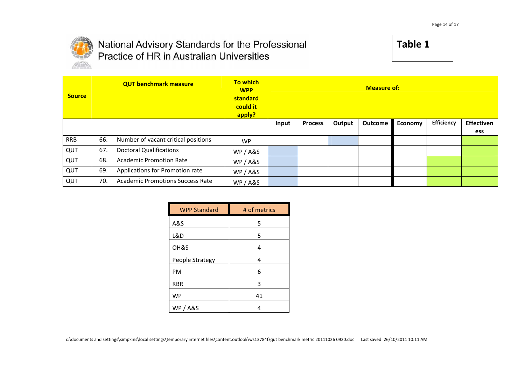

| <b>Source</b> |     | <b>QUT benchmark measure</b>            | <b>To which</b><br><b>WPP</b><br>standard<br>could it<br>apply? | <b>Measure of:</b> |                |        |                |         |                   |            |
|---------------|-----|-----------------------------------------|-----------------------------------------------------------------|--------------------|----------------|--------|----------------|---------|-------------------|------------|
|               |     |                                         |                                                                 | Input              | <b>Process</b> | Output | <b>Outcome</b> | Economy | <b>Efficiency</b> | Effectiven |
|               |     |                                         |                                                                 |                    |                |        |                |         |                   | ess        |
| <b>RRB</b>    | 66. | Number of vacant critical positions     | <b>WP</b>                                                       |                    |                |        |                |         |                   |            |
| QUT           | 67. | <b>Doctoral Qualifications</b>          | WP / A&S                                                        |                    |                |        |                |         |                   |            |
| QUT           | 68. | <b>Academic Promotion Rate</b>          | WP / A&S                                                        |                    |                |        |                |         |                   |            |
| QUT           | 69. | Applications for Promotion rate         | WP / A&S                                                        |                    |                |        |                |         |                   |            |
| QUT           | 70. | <b>Academic Promotions Success Rate</b> | WP / A&S                                                        |                    |                |        |                |         |                   |            |

| <b>WPP Standard</b> | # of metrics |
|---------------------|--------------|
| A&S                 | 5            |
| L&D                 | 5            |
| OH&S                | 4            |
| People Strategy     | 4            |
| PM                  | 6            |
| <b>RBR</b>          | 3            |
| <b>WP</b>           | 41           |
| <b>WP/A&amp;S</b>   | 4            |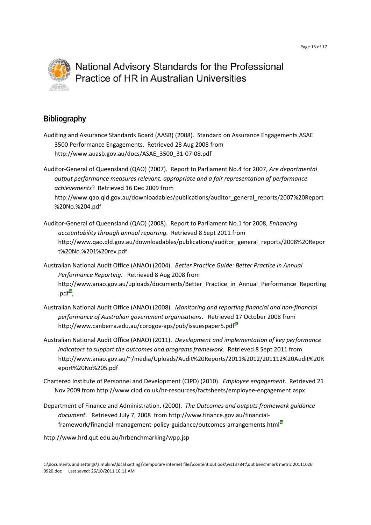

#### **Bibliography**

Auditing and Assurance Standards Board (AASB) (2008). Standard on Assurance Engagements ASAE 3500 Performance Engagements. Retrieved 28 Aug 2008 from http://www.auasb.gov.au/docs/ASAE\_3500\_31‐07‐08.pdf

Auditor‐General of Queensland (QAO) (2007). Report to Parliament No.4 for 2007, *Are departmental output performance measures relevant, appropriate and a fair representation of performance achievements*? Retrieved 16 Dec 2009 from http://www.qao.qld.gov.au/downloadables/publications/auditor\_general\_reports/2007%20Report %20No.%204.pdf

- Auditor‐General of Queensland (QAO) (2008). Report to Parliament No.1 for 2008, *Enhancing accountability through annual reporting.* Retrieved 8 Sept 2011 from http://www.qao.qld.gov.au/downloadables/publications/auditor\_general\_reports/2008%20Repor t%20No.%201%20rev.pdf
- Australian National Audit Office (ANAO) (2004). *Better Practice Guide: Better Practice in Annual Performance Reporting*. Retrieved 8 Aug 2008 from http://www.anao.gov.au/uploads/documents/Better\_Practice\_in\_Annual\_Performance\_Reporting  $.$ pdf $\overline{\phantom{a}}$ :
- Australian National Audit Office (ANAO) (2008). *Monitoring and reporting financial and non‐financial performance of Australian government organisations*. Retrieved 17 October 2008 from http://www.canberra.edu.au/corpgov-aps/pub/issuespaper5.pdf<sup>®</sup>
- Australian National Audit Office (ANAO) (2011). *Development and implementation of key performance indicators to support the outcomes and programs framework.* Retrieved 8 Sept 2011 from http://www.anao.gov.au/~/media/Uploads/Audit%20Reports/2011%2012/201112%20Audit%20R eport%20No%205.pdf
- Chartered Institute of Personnel and Development (CIPD) (2010). *Employee engagement.* Retrieved 21 Nov 2009 from http://www.cipd.co.uk/hr‐resources/factsheets/employee‐engagement.aspx
- Department of Finance and Administration. (2000). *The Outcomes and outputs framework guidance document*. Retrieved July 7, 2008 from http://www.finance.gov.au/financial‐ framework/financial-management-policy-guidance/outcomes-arrangements.html<sup>®</sup>
- http://www.hrd.qut.edu.au/hrbenchmarking/wpp.jsp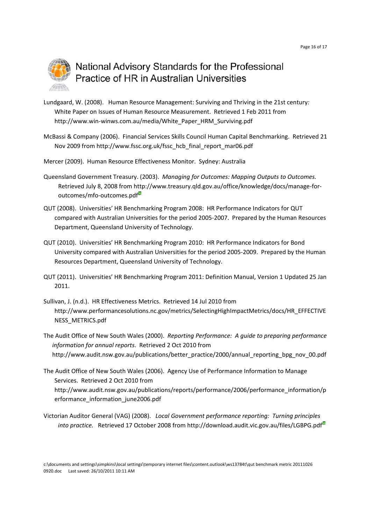

- Lundgaard, W. (2008). Human Resource Management: Surviving and Thriving in the 21st century*:*  White Paper on Issues of Human Resource Measurement. Retrieved 1 Feb 2011 from http://www.win‐winws.com.au/media/White\_Paper\_HRM\_Surviving.pdf
- McBassi & Company (2006). Financial Services Skills Council Human Capital Benchmarking. Retrieved 21 Nov 2009 from http://www.fssc.org.uk/fssc\_hcb\_final\_report\_mar06.pdf
- Mercer (2009). Human Resource Effectiveness Monitor. Sydney: Australia
- Queensland Government Treasury. (2003). *Managing for Outcomes: Mapping Outputs to Outcomes.*  Retrieved July 8, 2008 from http://www.treasury.qld.gov.au/office/knowledge/docs/manage‐for‐ outcomes/mfo‐outcomes.pdf
- QUT (2008). Universities' HR Benchmarking Program 2008: HR Performance Indicators for QUT compared with Australian Universities for the period 2005‐2007. Prepared by the Human Resources Department, Queensland University of Technology.
- QUT (2010). Universities' HR Benchmarking Program 2010: HR Performance Indicators for Bond University compared with Australian Universities for the period 2005‐2009. Prepared by the Human Resources Department, Queensland University of Technology.
- QUT (2011). Universities' HR Benchmarking Program 2011: Definition Manual, Version 1 Updated 25 Jan 2011.
- Sullivan, J. (n.d.). HR Effectiveness Metrics. Retrieved 14 Jul 2010 from http://www.performancesolutions.nc.gov/metrics/SelectingHighImpactMetrics/docs/HR\_EFFECTIVE NESS\_METRICS.pdf
- The Audit Office of New South Wales (2000). *Reporting Performance: A guide to preparing performance information for annual reports*. Retrieved 2 Oct 2010 from http://www.audit.nsw.gov.au/publications/better\_practice/2000/annual\_reporting\_bpg\_nov\_00.pdf
- The Audit Office of New South Wales (2006). Agency Use of Performance Information to Manage Services. Retrieved 2 Oct 2010 from http://www.audit.nsw.gov.au/publications/reports/performance/2006/performance\_information/p erformance information june2006.pdf
- Victorian Auditor General (VAG) (2008). *Local Government performance reporting: Turning principles* into practice. Retrieved 17 October 2008 from http://download.audit.vic.gov.au/files/LGBPG.pdf<sup>8</sup>